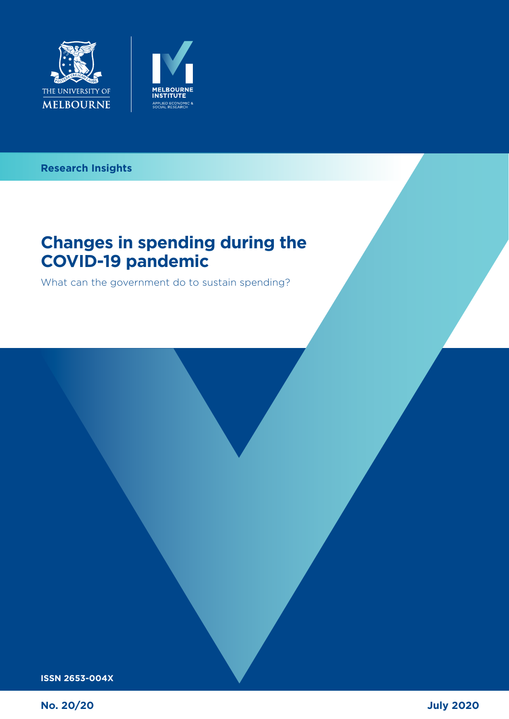



### **Can the tax system in the tax system in the tax system in the tax system in the tax system in the tax system in Research Insights**

### **Changes in spending during the COVID-19 pandemic**

What can the government do to sustain spending? are ways that was governments and individual approximation What can the government do to sustain spending?

**ISSN 2653-004X**

**No. 20/20**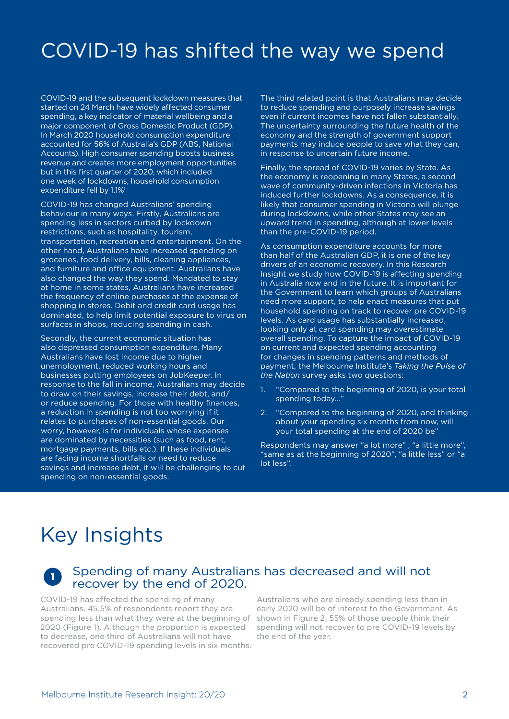# COVID-19 has shifted the way we spend

COVID-19 and the subsequent lockdown measures that started on 24 March have widely affected consumer spending, a key indicator of material wellbeing and a major component of Gross Domestic Product (GDP). In March 2020 household consumption expenditure accounted for 56% of Australia's GDP (ABS, National Accounts). High consumer spending boosts business revenue and creates more employment opportunities but in this first quarter of 2020, which included one week of lockdowns, household consumption expenditure fell by 1.1%1

COVID-19 has changed Australians' spending behaviour in many ways. Firstly, Australians are spending less in sectors curbed by lockdown restrictions, such as hospitality, tourism, transportation, recreation and entertainment. On the other hand, Australians have increased spending on groceries, food delivery, bills, cleaning appliances, and furniture and office equipment. Australians have also changed the way they spend. Mandated to stay at home in some states, Australians have increased the frequency of online purchases at the expense of shopping in stores. Debit and credit card usage has dominated, to help limit potential exposure to virus on surfaces in shops, reducing spending in cash.

Secondly, the current economic situation has also depressed consumption expenditure. Many Australians have lost income due to higher unemployment, reduced working hours and businesses putting employees on JobKeeper. In response to the fall in income, Australians may decide to draw on their savings, increase their debt, and/ or reduce spending. For those with healthy finances, a reduction in spending is not too worrying if it relates to purchases of non-essential goods. Our worry, however, is for individuals whose expenses are dominated by necessities (such as food, rent, mortgage payments, bills etc.). If these individuals are facing income shortfalls or need to reduce savings and increase debt, it will be challenging to cut spending on non-essential goods.

The third related point is that Australians may decide to reduce spending and purposely increase savings even if current incomes have not fallen substantially. The uncertainty surrounding the future health of the economy and the strength of government support payments may induce people to save what they can, in response to uncertain future income.

Finally, the spread of COVID-19 varies by State. As the economy is reopening in many States, a second wave of community-driven infections in Victoria has induced further lockdowns. As a consequence, it is likely that consumer spending in Victoria will plunge during lockdowns, while other States may see an upward trend in spending, although at lower levels than the pre-COVID-19 period.

As consumption expenditure accounts for more than half of the Australian GDP, it is one of the key drivers of an economic recovery. In this Research Insight we study how COVID-19 is affecting spending in Australia now and in the future. It is important for the Government to learn which groups of Australians need more support, to help enact measures that put household spending on track to recover pre COVID-19 levels. As card usage has substantially increased, looking only at card spending may overestimate overall spending. To capture the impact of COVID-19 on current and expected spending accounting for changes in spending patterns and methods of payment, the Melbourne Institute's *Taking the Pulse of the Nation* survey asks two questions:

- 1. "Compared to the beginning of 2020, is your total spending today..."
- 2. "Compared to the beginning of 2020, and thinking about your spending six months from now, will your total spending at the end of 2020 be"

Respondents may answer "a lot more" , "a little more", "same as at the beginning of 2020", "a little less" or "a lot less".

## Key Insights

### **<sup>1</sup>** Spending of many Australians has decreased and will not recover by the end of 2020.

COVID-19 has affected the spending of many Australians. 45.5% of respondents report they are spending less than what they were at the beginning of 2020 (Figure 1). Although the proportion is expected to decrease, one third of Australians will not have recovered pre COVID-19 spending levels in six months.

Australians who are already spending less than in early 2020 will be of interest to the Government. As shown in Figure 2, 55% of those people think their spending will not recover to pre COVID-19 levels by the end of the year.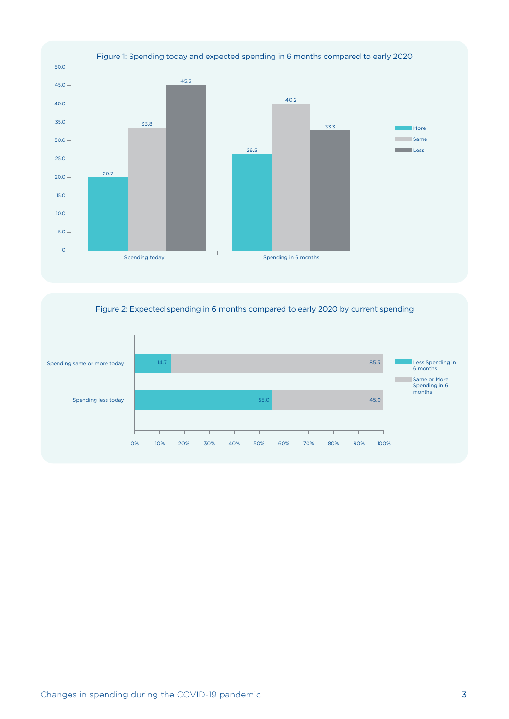

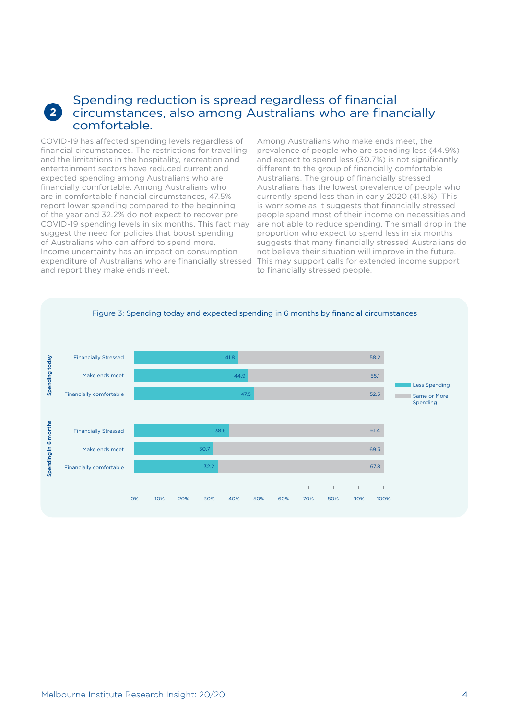#### **2** Spending reduction is spread regardless of financial circumstances, also among Australians who are financially comfortable.

COVID-19 has affected spending levels regardless of financial circumstances. The restrictions for travelling and the limitations in the hospitality, recreation and entertainment sectors have reduced current and expected spending among Australians who are financially comfortable. Among Australians who are in comfortable financial circumstances, 47.5% report lower spending compared to the beginning of the year and 32.2% do not expect to recover pre COVID-19 spending levels in six months. This fact may suggest the need for policies that boost spending of Australians who can afford to spend more. Income uncertainty has an impact on consumption expenditure of Australians who are financially stressed This may support calls for extended income support and report they make ends meet.

Among Australians who make ends meet, the prevalence of people who are spending less (44.9%) and expect to spend less (30.7%) is not significantly different to the group of financially comfortable Australians. The group of financially stressed Australians has the lowest prevalence of people who currently spend less than in early 2020 (41.8%). This is worrisome as it suggests that financially stressed people spend most of their income on necessities and are not able to reduce spending. The small drop in the proportion who expect to spend less in six months suggests that many financially stressed Australians do not believe their situation will improve in the future. to financially stressed people.

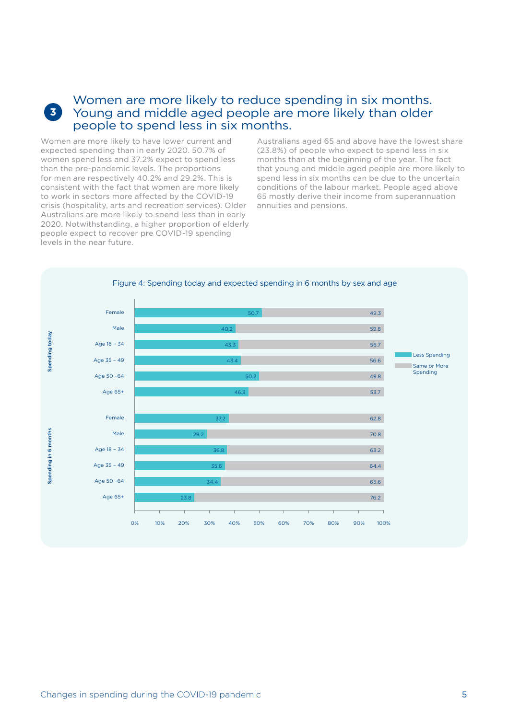### Women are more likely to reduce spending in six months. Young and middle aged people are more likely than older people to spend less in six months.

Women are more likely to have lower current and expected spending than in early 2020. 50.7% of women spend less and 37.2% expect to spend less than the pre-pandemic levels. The proportions for men are respectively 40.2% and 29.2%. This is consistent with the fact that women are more likely to work in sectors more affected by the COVID-19 crisis (hospitality, arts and recreation services). Older Australians are more likely to spend less than in early 2020. Notwithstanding, a higher proportion of elderly people expect to recover pre COVID-19 spending levels in the near future.

**3**

Australians aged 65 and above have the lowest share (23.8%) of people who expect to spend less in six months than at the beginning of the year. The fact that young and middle aged people are more likely to spend less in six months can be due to the uncertain conditions of the labour market. People aged above 65 mostly derive their income from superannuation annuities and pensions.

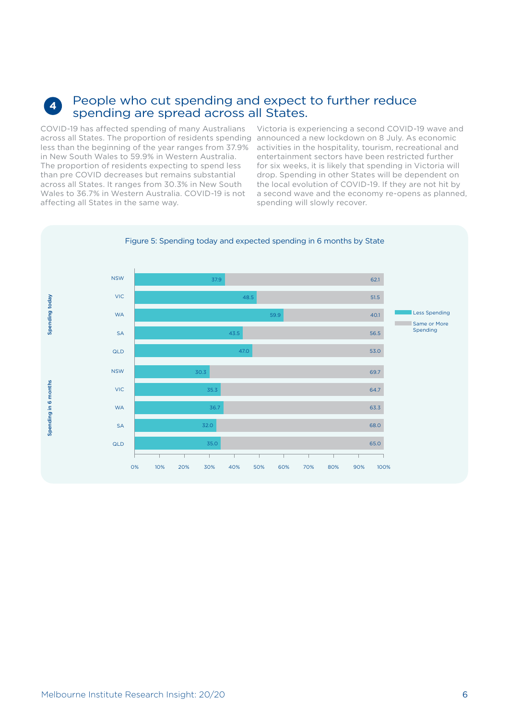#### **4** People who cut spending and expect to further reduce spending are spread across all States.

COVID-19 has affected spending of many Australians across all States. The proportion of residents spending announced a new lockdown on 8 July. As economic less than the beginning of the year ranges from 37.9% in New South Wales to 59.9% in Western Australia. The proportion of residents expecting to spend less than pre COVID decreases but remains substantial across all States. It ranges from 30.3% in New South Wales to 36.7% in Western Australia. COVID-19 is not affecting all States in the same way.

Victoria is experiencing a second COVID-19 wave and activities in the hospitality, tourism, recreational and entertainment sectors have been restricted further for six weeks, it is likely that spending in Victoria will drop. Spending in other States will be dependent on the local evolution of COVID-19. If they are not hit by a second wave and the economy re-opens as planned, spending will slowly recover.



Melbourne Institute Research Insight: 20/20 6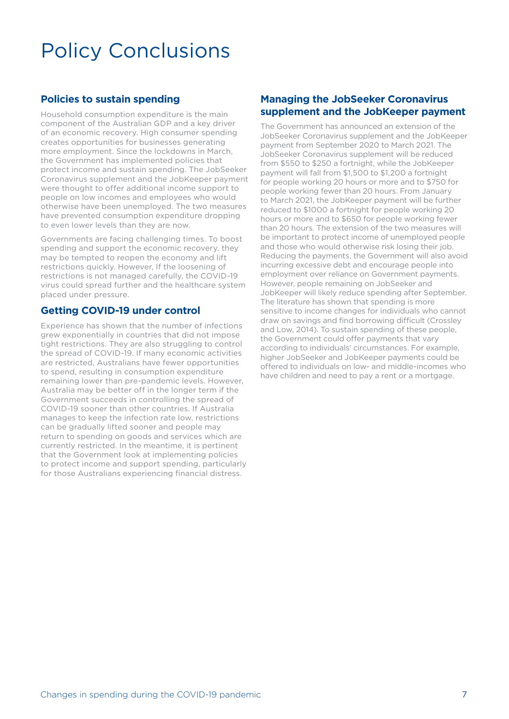# Policy Conclusions

#### **Policies to sustain spending**

Household consumption expenditure is the main component of the Australian GDP and a key driver of an economic recovery. High consumer spending creates opportunities for businesses generating more employment. Since the lockdowns in March, the Government has implemented policies that protect income and sustain spending. The JobSeeker Coronavirus supplement and the JobKeeper payment were thought to offer additional income support to people on low incomes and employees who would otherwise have been unemployed. The two measures have prevented consumption expenditure dropping to even lower levels than they are now.

Governments are facing challenging times. To boost spending and support the economic recovery, they may be tempted to reopen the economy and lift restrictions quickly. However, If the loosening of restrictions is not managed carefully, the COVID-19 virus could spread further and the healthcare system placed under pressure.

#### **Getting COVID-19 under control**

Experience has shown that the number of infections grew exponentially in countries that did not impose tight restrictions. They are also struggling to control the spread of COVID-19. If many economic activities are restricted, Australians have fewer opportunities to spend, resulting in consumption expenditure remaining lower than pre-pandemic levels. However, Australia may be better off in the longer term if the Government succeeds in controlling the spread of COVID-19 sooner than other countries. If Australia manages to keep the infection rate low, restrictions can be gradually lifted sooner and people may return to spending on goods and services which are currently restricted. In the meantime, it is pertinent that the Government look at implementing policies to protect income and support spending, particularly for those Australians experiencing financial distress.

#### **Managing the JobSeeker Coronavirus supplement and the JobKeeper payment**

The Government has announced an extension of the JobSeeker Coronavirus supplement and the JobKeeper payment from September 2020 to March 2021. The JobSeeker Coronavirus supplement will be reduced from \$550 to \$250 a fortnight, while the JobKeeper payment will fall from \$1,500 to \$1,200 a fortnight for people working 20 hours or more and to \$750 for people working fewer than 20 hours. From January to March 2021, the JobKeeper payment will be further reduced to \$1000 a fortnight for people working 20 hours or more and to \$650 for people working fewer than 20 hours. The extension of the two measures will be important to protect income of unemployed people and those who would otherwise risk losing their job. Reducing the payments, the Government will also avoid incurring excessive debt and encourage people into employment over reliance on Government payments. However, people remaining on JobSeeker and JobKeeper will likely reduce spending after September. The literature has shown that spending is more sensitive to income changes for individuals who cannot draw on savings and find borrowing difficult (Crossley and Low, 2014). To sustain spending of these people, the Government could offer payments that vary according to individuals' circumstances. For example, higher JobSeeker and JobKeeper payments could be offered to individuals on low- and middle-incomes who have children and need to pay a rent or a mortgage.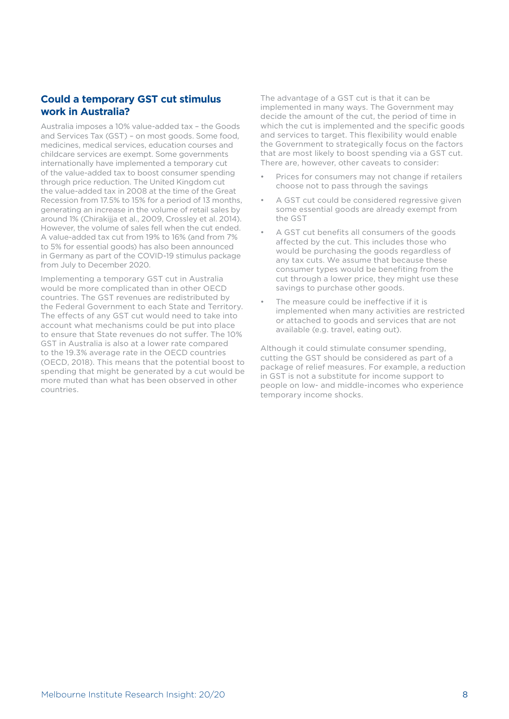#### **Could a temporary GST cut stimulus work in Australia?**

Australia imposes a 10% value-added tax – the Goods and Services Tax (GST) – on most goods. Some food, medicines, medical services, education courses and childcare services are exempt. Some governments internationally have implemented a temporary cut of the value-added tax to boost consumer spending through price reduction. The United Kingdom cut the value-added tax in 2008 at the time of the Great Recession from 17.5% to 15% for a period of 13 months, generating an increase in the volume of retail sales by around 1% (Chirakijja et al., 2009, Crossley et al. 2014). However, the volume of sales fell when the cut ended. A value-added tax cut from 19% to 16% (and from 7% to 5% for essential goods) has also been announced in Germany as part of the COVID-19 stimulus package from July to December 2020.

Implementing a temporary GST cut in Australia would be more complicated than in other OECD countries. The GST revenues are redistributed by the Federal Government to each State and Territory. The effects of any GST cut would need to take into account what mechanisms could be put into place to ensure that State revenues do not suffer. The 10% GST in Australia is also at a lower rate compared to the 19.3% average rate in the OECD countries (OECD, 2018). This means that the potential boost to spending that might be generated by a cut would be more muted than what has been observed in other countries.

The advantage of a GST cut is that it can be implemented in many ways. The Government may decide the amount of the cut, the period of time in which the cut is implemented and the specific goods and services to target. This flexibility would enable the Government to strategically focus on the factors that are most likely to boost spending via a GST cut. There are, however, other caveats to consider:

- Prices for consumers may not change if retailers choose not to pass through the savings
- A GST cut could be considered regressive given some essential goods are already exempt from the GST
- A GST cut benefits all consumers of the goods affected by the cut. This includes those who would be purchasing the goods regardless of any tax cuts. We assume that because these consumer types would be benefiting from the cut through a lower price, they might use these savings to purchase other goods.
- The measure could be ineffective if it is implemented when many activities are restricted or attached to goods and services that are not available (e.g. travel, eating out).

Although it could stimulate consumer spending, cutting the GST should be considered as part of a package of relief measures. For example, a reduction in GST is not a substitute for income support to people on low- and middle-incomes who experience temporary income shocks.